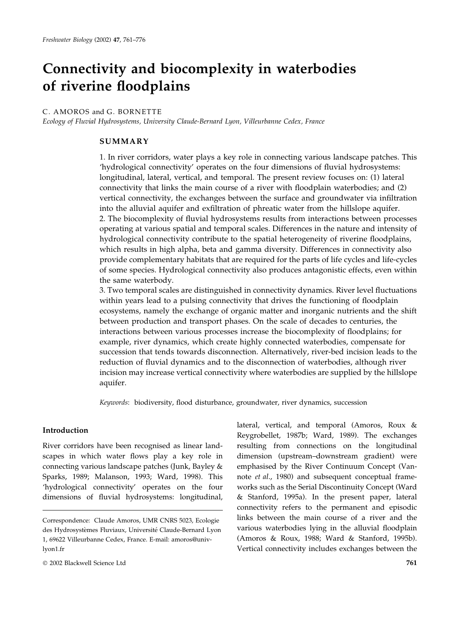# Connectivity and biocomplexity in waterbodies of riverine floodplains

### C. AMOROS and G. BORNETTE

Ecology of Fluvial Hydrosystems, University Claude-Bernard Lyon, Villeurbanne Cedex, France

## **SUMMARY**

1. In river corridors, water plays a key role in connecting various landscape patches. This 'hydrological connectivity' operates on the four dimensions of fluvial hydrosystems: longitudinal, lateral, vertical, and temporal. The present review focuses on: (1) lateral connectivity that links the main course of a river with floodplain waterbodies; and (2) vertical connectivity, the exchanges between the surface and groundwater via infiltration into the alluvial aquifer and exfiltration of phreatic water from the hillslope aquifer. 2. The biocomplexity of fluvial hydrosystems results from interactions between processes operating at various spatial and temporal scales. Differences in the nature and intensity of hydrological connectivity contribute to the spatial heterogeneity of riverine floodplains, which results in high alpha, beta and gamma diversity. Differences in connectivity also provide complementary habitats that are required for the parts of life cycles and life-cycles of some species. Hydrological connectivity also produces antagonistic effects, even within the same waterbody.

3. Two temporal scales are distinguished in connectivity dynamics. River level fluctuations within years lead to a pulsing connectivity that drives the functioning of floodplain ecosystems, namely the exchange of organic matter and inorganic nutrients and the shift between production and transport phases. On the scale of decades to centuries, the interactions between various processes increase the biocomplexity of floodplains; for example, river dynamics, which create highly connected waterbodies, compensate for succession that tends towards disconnection. Alternatively, river-bed incision leads to the reduction of fluvial dynamics and to the disconnection of waterbodies, although river incision may increase vertical connectivity where waterbodies are supplied by the hillslope aquifer.

Keywords: biodiversity, flood disturbance, groundwater, river dynamics, succession

#### Introduction

River corridors have been recognised as linear landscapes in which water flows play a key role in connecting various landscape patches (Junk, Bayley & Sparks, 1989; Malanson, 1993; Ward, 1998). This 'hydrological connectivity' operates on the four dimensions of fluvial hydrosystems: longitudinal,

lateral, vertical, and temporal (Amoros, Roux & Reygrobellet, 1987b; Ward, 1989). The exchanges resulting from connections on the longitudinal dimension (upstream–downstream gradient) were emphasised by the River Continuum Concept (Vannote et al., 1980) and subsequent conceptual frameworks such as the Serial Discontinuity Concept (Ward & Stanford, 1995a). In the present paper, lateral connectivity refers to the permanent and episodic links between the main course of a river and the various waterbodies lying in the alluvial floodplain (Amoros & Roux, 1988; Ward & Stanford, 1995b). Vertical connectivity includes exchanges between the

Correspondence: Claude Amoros, UMR CNRS 5023, Ecologie des Hydrosystèmes Fluviaux, Université Claude-Bernard Lyon 1, 69622 Villeurbanne Cedex, France. E-mail: amoros@univlyon1.fr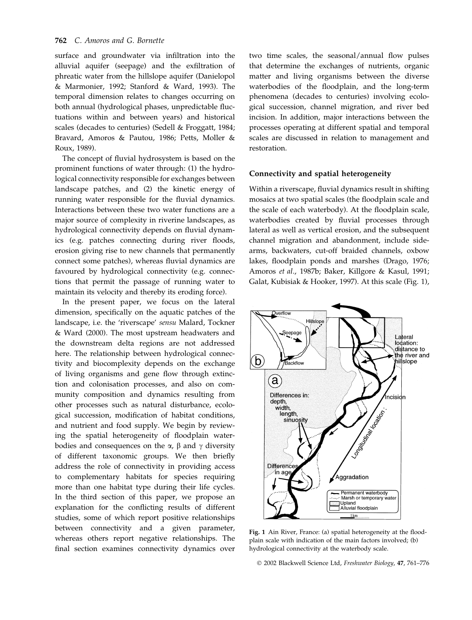surface and groundwater via infiltration into the alluvial aquifer (seepage) and the exfiltration of phreatic water from the hillslope aquifer (Danielopol & Marmonier, 1992; Stanford & Ward, 1993). The temporal dimension relates to changes occurring on both annual (hydrological phases, unpredictable fluctuations within and between years) and historical scales (decades to centuries) (Sedell & Froggatt, 1984; Bravard, Amoros & Pautou, 1986; Petts, Moller & Roux, 1989).

The concept of fluvial hydrosystem is based on the prominent functions of water through: (1) the hydrological connectivity responsible for exchanges between landscape patches, and (2) the kinetic energy of running water responsible for the fluvial dynamics. Interactions between these two water functions are a major source of complexity in riverine landscapes, as hydrological connectivity depends on fluvial dynamics (e.g. patches connecting during river floods, erosion giving rise to new channels that permanently connect some patches), whereas fluvial dynamics are favoured by hydrological connectivity (e.g. connections that permit the passage of running water to maintain its velocity and thereby its eroding force).

In the present paper, we focus on the lateral dimension, specifically on the aquatic patches of the landscape, i.e. the 'riverscape' sensu Malard, Tockner & Ward (2000). The most upstream headwaters and the downstream delta regions are not addressed here. The relationship between hydrological connectivity and biocomplexity depends on the exchange of living organisms and gene flow through extinction and colonisation processes, and also on community composition and dynamics resulting from other processes such as natural disturbance, ecological succession, modification of habitat conditions, and nutrient and food supply. We begin by reviewing the spatial heterogeneity of floodplain waterbodies and consequences on the  $\alpha$ ,  $\beta$  and  $\gamma$  diversity of different taxonomic groups. We then briefly address the role of connectivity in providing access to complementary habitats for species requiring more than one habitat type during their life cycles. In the third section of this paper, we propose an explanation for the conflicting results of different studies, some of which report positive relationships between connectivity and a given parameter, whereas others report negative relationships. The final section examines connectivity dynamics over

two time scales, the seasonal/annual flow pulses that determine the exchanges of nutrients, organic matter and living organisms between the diverse waterbodies of the floodplain, and the long-term phenomena (decades to centuries) involving ecological succession, channel migration, and river bed incision. In addition, major interactions between the processes operating at different spatial and temporal scales are discussed in relation to management and restoration.

#### Connectivity and spatial heterogeneity

Within a riverscape, fluvial dynamics result in shifting mosaics at two spatial scales (the floodplain scale and the scale of each waterbody). At the floodplain scale, waterbodies created by fluvial processes through lateral as well as vertical erosion, and the subsequent channel migration and abandonment, include sidearms, backwaters, cut-off braided channels, oxbow lakes, floodplain ponds and marshes (Drago, 1976; Amoros et al., 1987b; Baker, Killgore & Kasul, 1991; Galat, Kubisiak & Hooker, 1997). At this scale (Fig. 1),



Fig. 1 Ain River, France: (a) spatial heterogeneity at the floodplain scale with indication of the main factors involved; (b) hydrological connectivity at the waterbody scale.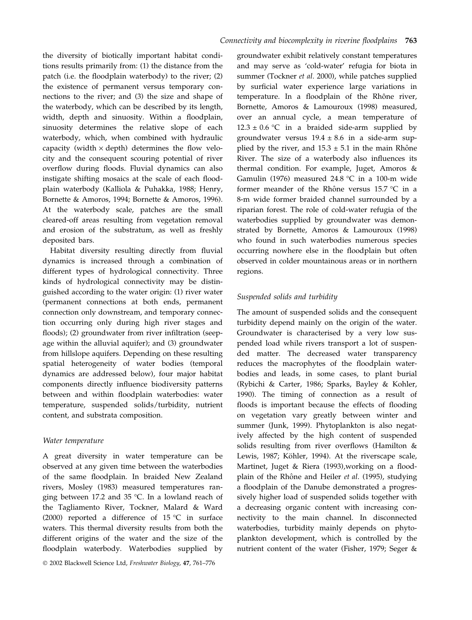the diversity of biotically important habitat conditions results primarily from: (1) the distance from the patch (i.e. the floodplain waterbody) to the river; (2) the existence of permanent versus temporary connections to the river; and (3) the size and shape of the waterbody, which can be described by its length, width, depth and sinuosity. Within a floodplain, sinuosity determines the relative slope of each waterbody, which, when combined with hydraulic capacity (width  $\times$  depth) determines the flow velocity and the consequent scouring potential of river overflow during floods. Fluvial dynamics can also instigate shifting mosaics at the scale of each floodplain waterbody (Kalliola & Puhakka, 1988; Henry, Bornette & Amoros, 1994; Bornette & Amoros, 1996). At the waterbody scale, patches are the small cleared-off areas resulting from vegetation removal and erosion of the substratum, as well as freshly deposited bars.

Habitat diversity resulting directly from fluvial dynamics is increased through a combination of different types of hydrological connectivity. Three kinds of hydrological connectivity may be distinguished according to the water origin: (1) river water (permanent connections at both ends, permanent connection only downstream, and temporary connection occurring only during high river stages and floods); (2) groundwater from river infiltration (seepage within the alluvial aquifer); and (3) groundwater from hillslope aquifers. Depending on these resulting spatial heterogeneity of water bodies (temporal dynamics are addressed below), four major habitat components directly influence biodiversity patterns between and within floodplain waterbodies: water temperature, suspended solids/turbidity, nutrient content, and substrata composition.

# Water temperature

A great diversity in water temperature can be observed at any given time between the waterbodies of the same floodplain. In braided New Zealand rivers, Mosley (1983) measured temperatures ranging between 17.2 and 35 °C. In a lowland reach of the Tagliamento River, Tockner, Malard & Ward (2000) reported a difference of 15 °C in surface waters. This thermal diversity results from both the different origins of the water and the size of the floodplain waterbody. Waterbodies supplied by

Ó 2002 Blackwell Science Ltd, Freshwater Biology, 47, 761–776

groundwater exhibit relatively constant temperatures and may serve as 'cold-water' refugia for biota in summer (Tockner et al. 2000), while patches supplied by surficial water experience large variations in temperature. In a floodplain of the Rhône river, Bornette, Amoros & Lamouroux (1998) measured, over an annual cycle, a mean temperature of  $12.3 \pm 0.6$  °C in a braided side-arm supplied by groundwater versus  $19.4 \pm 8.6$  in a side-arm supplied by the river, and  $15.3 \pm 5.1$  in the main Rhône River. The size of a waterbody also influences its thermal condition. For example, Juget, Amoros & Gamulin (1976) measured 24.8 °C in a 100-m wide former meander of the Rhône versus  $15.7$  °C in a 8-m wide former braided channel surrounded by a riparian forest. The role of cold-water refugia of the waterbodies supplied by groundwater was demonstrated by Bornette, Amoros & Lamouroux (1998) who found in such waterbodies numerous species occurring nowhere else in the floodplain but often observed in colder mountainous areas or in northern regions.

# Suspended solids and turbidity

The amount of suspended solids and the consequent turbidity depend mainly on the origin of the water. Groundwater is characterised by a very low suspended load while rivers transport a lot of suspended matter. The decreased water transparency reduces the macrophytes of the floodplain waterbodies and leads, in some cases, to plant burial (Rybichi & Carter, 1986; Sparks, Bayley & Kohler, 1990). The timing of connection as a result of floods is important because the effects of flooding on vegetation vary greatly between winter and summer (Junk, 1999). Phytoplankton is also negatively affected by the high content of suspended solids resulting from river overflows (Hamilton & Lewis, 1987; Köhler, 1994). At the riverscape scale, Martinet, Juget & Riera (1993),working on a floodplain of the Rhône and Heiler et al. (1995), studying a floodplain of the Danube demonstrated a progressively higher load of suspended solids together with a decreasing organic content with increasing connectivity to the main channel. In disconnected waterbodies, turbidity mainly depends on phytoplankton development, which is controlled by the nutrient content of the water (Fisher, 1979; Seger &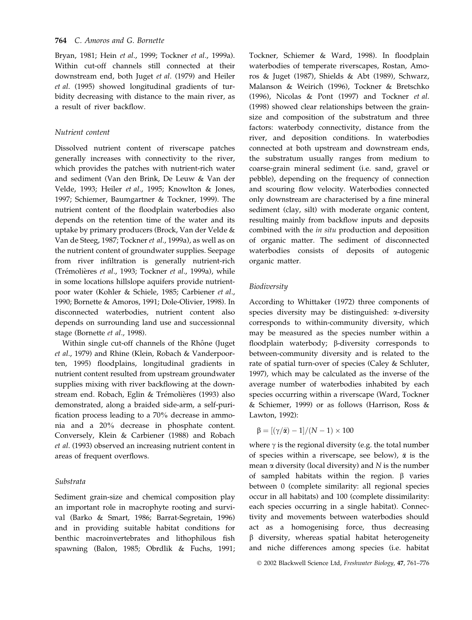Bryan, 1981; Hein et al., 1999; Tockner et al., 1999a). Within cut-off channels still connected at their downstream end, both Juget et al. (1979) and Heiler et al. (1995) showed longitudinal gradients of turbidity decreasing with distance to the main river, as a result of river backflow.

### Nutrient content

Dissolved nutrient content of riverscape patches generally increases with connectivity to the river, which provides the patches with nutrient-rich water and sediment (Van den Brink, De Leuw & Van der Velde, 1993; Heiler et al., 1995; Knowlton & Jones, 1997; Schiemer, Baumgartner & Tockner, 1999). The nutrient content of the floodplain waterbodies also depends on the retention time of the water and its uptake by primary producers (Brock, Van der Velde & Van de Steeg, 1987; Tockner et al., 1999a), as well as on the nutrient content of groundwater supplies. Seepage from river infiltration is generally nutrient-rich (Trémolières et al., 1993; Tockner et al., 1999a), while in some locations hillslope aquifers provide nutrientpoor water (Kohler & Schiele, 1985; Carbiener et al., 1990; Bornette & Amoros, 1991; Dole-Olivier, 1998). In disconnected waterbodies, nutrient content also depends on surrounding land use and successionnal stage (Bornette et al., 1998).

Within single cut-off channels of the Rhône (Juget et al., 1979) and Rhine (Klein, Robach & Vanderpoorten, 1995) floodplains, longitudinal gradients in nutrient content resulted from upstream groundwater supplies mixing with river backflowing at the downstream end. Robach, Eglin & Trémolières (1993) also demonstrated, along a braided side-arm, a self-purification process leading to a 70% decrease in ammonia and a 20% decrease in phosphate content. Conversely, Klein & Carbiener (1988) and Robach et al. (1993) observed an increasing nutrient content in areas of frequent overflows.

#### Substrata

Sediment grain-size and chemical composition play an important role in macrophyte rooting and survival (Barko & Smart, 1986; Barrat-Segretain, 1996) and in providing suitable habitat conditions for benthic macroinvertebrates and lithophilous fish spawning (Balon, 1985; Obrdlik & Fuchs, 1991;

Tockner, Schiemer & Ward, 1998). In floodplain waterbodies of temperate riverscapes, Rostan, Amoros & Juget (1987), Shields & Abt (1989), Schwarz, Malanson & Weirich (1996), Tockner & Bretschko (1996), Nicolas & Pont (1997) and Tockner et al. (1998) showed clear relationships between the grainsize and composition of the substratum and three factors: waterbody connectivity, distance from the river, and deposition conditions. In waterbodies connected at both upstream and downstream ends, the substratum usually ranges from medium to coarse-grain mineral sediment (i.e. sand, gravel or pebble), depending on the frequency of connection and scouring flow velocity. Waterbodies connected only downstream are characterised by a fine mineral sediment (clay, silt) with moderate organic content, resulting mainly from backflow inputs and deposits combined with the in situ production and deposition of organic matter. The sediment of disconnected waterbodies consists of deposits of autogenic organic matter.

#### **Biodiversity**

According to Whittaker (1972) three components of species diversity may be distinguished: a-diversity corresponds to within-community diversity, which may be measured as the species number within a floodplain waterbody;  $\beta$ -diversity corresponds to between-community diversity and is related to the rate of spatial turn-over of species (Caley & Schluter, 1997), which may be calculated as the inverse of the average number of waterbodies inhabited by each species occurring within a riverscape (Ward, Tockner & Schiemer, 1999) or as follows (Harrison, Ross & Lawton, 1992):

$$
\beta=[(\gamma/\bar{\alpha})-1]/(N-1)\times 100
$$

where  $\gamma$  is the regional diversity (e.g. the total number of species within a riverscape, see below),  $\bar{\alpha}$  is the mean  $\alpha$  diversity (local diversity) and  $N$  is the number of sampled habitats within the region.  $\beta$  varies between 0 (complete similarity: all regional species occur in all habitats) and 100 (complete dissimilarity: each species occurring in a single habitat). Connectivity and movements between waterbodies should act as a homogenising force, thus decreasing  $\beta$  diversity, whereas spatial habitat heterogeneity and niche differences among species (i.e. habitat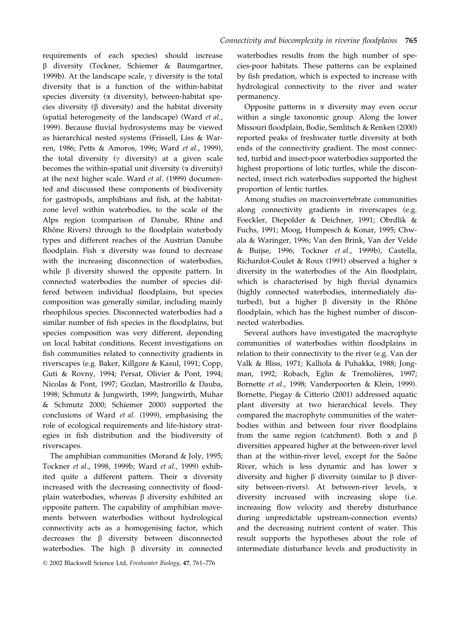requirements of each species) should increase  $\beta$  diversity (Tockner, Schiemer & Baumgartner, 1999b). At the landscape scale,  $\gamma$  diversity is the total diversity that is a function of the within-habitat species diversity ( $\alpha$  diversity), between-habitat species diversity ( $\beta$  diversity) and the habitat diversity (spatial heterogeneity of the landscape) (Ward et al., 1999). Because fluvial hydrosystems may be viewed as hierarchical nested systems (Frissell, Liss & Warren, 1986; Petts & Amoros, 1996; Ward et al., 1999), the total diversity ( $\gamma$  diversity) at a given scale becomes the within-spatial unit diversity  $(\alpha \text{ diversity})$ at the next higher scale. Ward et al. (1999) documented and discussed these components of biodiversity for gastropods, amphibians and fish, at the habitatzone level within waterbodies, to the scale of the Alps region (comparison of Danube, Rhine and Rhône Rivers) through to the floodplain waterbody types and different reaches of the Austrian Danube floodplain. Fish  $\alpha$  diversity was found to decrease with the increasing disconnection of waterbodies, while  $\beta$  diversity showed the opposite pattern. In connected waterbodies the number of species differed between individual floodplains, but species composition was generally similar, including mainly rheophilous species. Disconnected waterbodies had a similar number of fish species in the floodplains, but species composition was very different, depending on local habitat conditions. Recent investigations on fish communities related to connectivity gradients in riverscapes (e.g. Baker, Killgore & Kasul, 1991; Copp, Guti & Rovny, 1994; Persat, Olivier & Pont, 1994; Nicolas & Pont, 1997; Gozlan, Mastrorillo & Dauba, 1998; Schmutz & Jungwirth, 1999; Jungwirth, Muhar & Schmutz 2000; Schiemer 2000) supported the conclusions of Ward et al. (1999), emphasising the role of ecological requirements and life-history strategies in fish distribution and the biodiversity of riverscapes.

The amphibian communities (Morand & Joly, 1995; Tockner et al., 1998, 1999b; Ward et al., 1999) exhibited quite a different pattern. Their  $\alpha$  diversity increased with the decreasing connectivity of floodplain waterbodies, whereas  $\beta$  diversity exhibited an opposite pattern. The capability of amphibian movements between waterbodies without hydrological connectivity acts as a homogenising factor, which decreases the  $\beta$  diversity between disconnected waterbodies. The high  $\beta$  diversity in connected

Ó 2002 Blackwell Science Ltd, Freshwater Biology, 47, 761–776

waterbodies results from the high number of species-poor habitats. These patterns can be explained by fish predation, which is expected to increase with hydrological connectivity to the river and water permanency.

Opposite patterns in  $\alpha$  diversity may even occur within a single taxonomic group. Along the lower Missouri floodplain, Bodie, Semlitsch & Renken (2000) reported peaks of freshwater turtle diversity at both ends of the connectivity gradient. The most connected, turbid and insect-poor waterbodies supported the highest proportions of lotic turtles, while the disconnected, insect rich waterbodies supported the highest proportion of lentic turtles.

Among studies on macroinvertebrate communities along connectivity gradients in riverscapes (e.g. Foeckler, Diepolder & Deichner, 1991; Obrdlik & Fuchs, 1991; Moog, Humpesch & Konar, 1995; Chwala & Waringer, 1996; Van den Brink, Van der Velde & Buijse, 1996; Tockner et al., 1999b), Castella, Richardot-Coulet & Roux (1991) observed a higher a diversity in the waterbodies of the Ain floodplain, which is characterised by high fluvial dynamics (highly connected waterbodies, intermediately disturbed), but a higher  $\beta$  diversity in the Rhône floodplain, which has the highest number of disconnected waterbodies.

Several authors have investigated the macrophyte communities of waterbodies within floodplains in relation to their connectivity to the river (e.g. Van der Valk & Bliss, 1971; Kalliola & Puhakka, 1988; Jongman, 1992; Robach, Eglin & Tremolières, 1997; Bornette et al., 1998; Vanderpoorten & Klein, 1999). Bornette, Piegay & Citterio (2001) addressed aquatic plant diversity at two hierarchical levels. They compared the macrophyte communities of the waterbodies within and between four river floodplains from the same region (catchment). Both  $\alpha$  and  $\beta$ diversities appeared higher at the between-river level than at the within-river level, except for the Saône River, which is less dynamic and has lower  $\alpha$ diversity and higher  $\beta$  diversity (similar to  $\beta$  diversity between-rivers). At between-river levels,  $\alpha$ diversity increased with increasing slope (i.e. increasing flow velocity and thereby disturbance during unpredictable upstream-connection events) and the decreasing nutrient content of water. This result supports the hypotheses about the role of intermediate disturbance levels and productivity in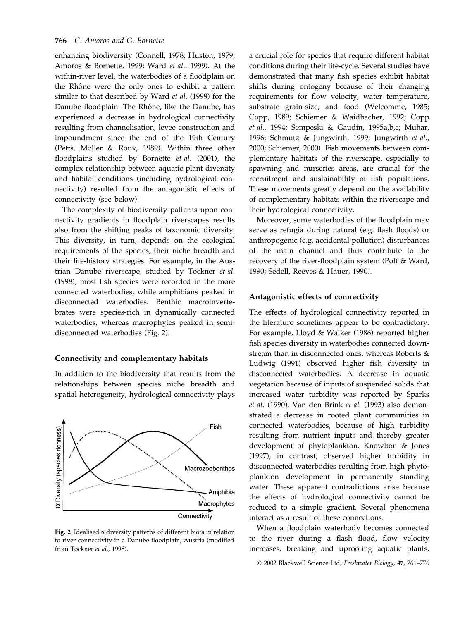enhancing biodiversity (Connell, 1978; Huston, 1979; Amoros & Bornette, 1999; Ward et al., 1999). At the within-river level, the waterbodies of a floodplain on the Rhône were the only ones to exhibit a pattern similar to that described by Ward et al. (1999) for the Danube floodplain. The Rhône, like the Danube, has experienced a decrease in hydrological connectivity resulting from channelisation, levee construction and impoundment since the end of the 19th Century (Petts, Moller & Roux, 1989). Within three other floodplains studied by Bornette et al. (2001), the complex relationship between aquatic plant diversity and habitat conditions (including hydrological connectivity) resulted from the antagonistic effects of connectivity (see below).

The complexity of biodiversity patterns upon connectivity gradients in floodplain riverscapes results also from the shifting peaks of taxonomic diversity. This diversity, in turn, depends on the ecological requirements of the species, their niche breadth and their life-history strategies. For example, in the Austrian Danube riverscape, studied by Tockner et al. (1998), most fish species were recorded in the more connected waterbodies, while amphibians peaked in disconnected waterbodies. Benthic macroinvertebrates were species-rich in dynamically connected waterbodies, whereas macrophytes peaked in semidisconnected waterbodies (Fig. 2).

#### Connectivity and complementary habitats

In addition to the biodiversity that results from the relationships between species niche breadth and spatial heterogeneity, hydrological connectivity plays



Fig. 2 Idealised  $\alpha$  diversity patterns of different biota in relation to river connectivity in a Danube floodplain, Austria (modified from Tockner et al., 1998).

a crucial role for species that require different habitat conditions during their life-cycle. Several studies have demonstrated that many fish species exhibit habitat shifts during ontogeny because of their changing requirements for flow velocity, water temperature, substrate grain-size, and food (Welcomme, 1985; Copp, 1989; Schiemer & Waidbacher, 1992; Copp et al., 1994; Sempeski & Gaudin, 1995a,b,c; Muhar, 1996; Schmutz & Jungwirth, 1999; Jungwirth et al., 2000; Schiemer, 2000). Fish movements between complementary habitats of the riverscape, especially to spawning and nurseries areas, are crucial for the recruitment and sustainability of fish populations. These movements greatly depend on the availability of complementary habitats within the riverscape and their hydrological connectivity.

Moreover, some waterbodies of the floodplain may serve as refugia during natural (e.g. flash floods) or anthropogenic (e.g. accidental pollution) disturbances of the main channel and thus contribute to the recovery of the river-floodplain system (Poff & Ward, 1990; Sedell, Reeves & Hauer, 1990).

#### Antagonistic effects of connectivity

The effects of hydrological connectivity reported in the literature sometimes appear to be contradictory. For example, Lloyd & Walker (1986) reported higher fish species diversity in waterbodies connected downstream than in disconnected ones, whereas Roberts & Ludwig (1991) observed higher fish diversity in disconnected waterbodies. A decrease in aquatic vegetation because of inputs of suspended solids that increased water turbidity was reported by Sparks et al. (1990). Van den Brink et al. (1993) also demonstrated a decrease in rooted plant communities in connected waterbodies, because of high turbidity resulting from nutrient inputs and thereby greater development of phytoplankton. Knowlton & Jones (1997), in contrast, observed higher turbidity in disconnected waterbodies resulting from high phytoplankton development in permanently standing water. These apparent contradictions arise because the effects of hydrological connectivity cannot be reduced to a simple gradient. Several phenomena interact as a result of these connections.

When a floodplain waterbody becomes connected to the river during a flash flood, flow velocity increases, breaking and uprooting aquatic plants,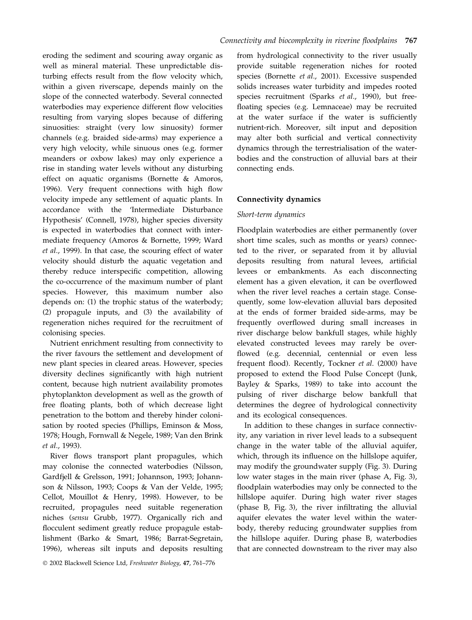eroding the sediment and scouring away organic as well as mineral material. These unpredictable disturbing effects result from the flow velocity which, within a given riverscape, depends mainly on the slope of the connected waterbody. Several connected waterbodies may experience different flow velocities resulting from varying slopes because of differing sinuosities: straight (very low sinuosity) former channels (e.g. braided side-arms) may experience a very high velocity, while sinuous ones (e.g. former meanders or oxbow lakes) may only experience a rise in standing water levels without any disturbing effect on aquatic organisms (Bornette & Amoros, 1996). Very frequent connections with high flow velocity impede any settlement of aquatic plants. In accordance with the 'Intermediate Disturbance Hypothesis' (Connell, 1978), higher species diversity is expected in waterbodies that connect with intermediate frequency (Amoros & Bornette, 1999; Ward et al., 1999). In that case, the scouring effect of water velocity should disturb the aquatic vegetation and thereby reduce interspecific competition, allowing the co-occurrence of the maximum number of plant species. However, this maximum number also depends on: (1) the trophic status of the waterbody; (2) propagule inputs, and (3) the availability of regeneration niches required for the recruitment of colonising species.

Nutrient enrichment resulting from connectivity to the river favours the settlement and development of new plant species in cleared areas. However, species diversity declines significantly with high nutrient content, because high nutrient availability promotes phytoplankton development as well as the growth of free floating plants, both of which decrease light penetration to the bottom and thereby hinder colonisation by rooted species (Phillips, Eminson & Moss, 1978; Hough, Fornwall & Negele, 1989; Van den Brink et al., 1993).

River flows transport plant propagules, which may colonise the connected waterbodies (Nilsson, Gardfjell & Grelsson, 1991; Johannson, 1993; Johannson & Nilsson, 1993; Coops & Van der Velde, 1995; Cellot, Mouillot & Henry, 1998). However, to be recruited, propagules need suitable regeneration niches (sensu Grubb, 1977). Organically rich and flocculent sediment greatly reduce propagule establishment (Barko & Smart, 1986; Barrat-Segretain, 1996), whereas silt inputs and deposits resulting

from hydrological connectivity to the river usually provide suitable regeneration niches for rooted species (Bornette et al., 2001). Excessive suspended solids increases water turbidity and impedes rooted species recruitment (Sparks et al., 1990), but freefloating species (e.g. Lemnaceae) may be recruited at the water surface if the water is sufficiently nutrient-rich. Moreover, silt input and deposition may alter both surficial and vertical connectivity dynamics through the terrestrialisation of the waterbodies and the construction of alluvial bars at their connecting ends.

## Connectivity dynamics

## Short-term dynamics

Floodplain waterbodies are either permanently (over short time scales, such as months or years) connected to the river, or separated from it by alluvial deposits resulting from natural levees, artificial levees or embankments. As each disconnecting element has a given elevation, it can be overflowed when the river level reaches a certain stage. Consequently, some low-elevation alluvial bars deposited at the ends of former braided side-arms, may be frequently overflowed during small increases in river discharge below bankfull stages, while highly elevated constructed levees may rarely be overflowed (e.g. decennial, centennial or even less frequent flood). Recently, Tockner et al. (2000) have proposed to extend the Flood Pulse Concept (Junk, Bayley & Sparks, 1989) to take into account the pulsing of river discharge below bankfull that determines the degree of hydrological connectivity and its ecological consequences.

In addition to these changes in surface connectivity, any variation in river level leads to a subsequent change in the water table of the alluvial aquifer, which, through its influence on the hillslope aquifer, may modify the groundwater supply (Fig. 3). During low water stages in the main river (phase A, Fig. 3), floodplain waterbodies may only be connected to the hillslope aquifer. During high water river stages (phase B, Fig. 3), the river infiltrating the alluvial aquifer elevates the water level within the waterbody, thereby reducing groundwater supplies from the hillslope aquifer. During phase B, waterbodies that are connected downstream to the river may also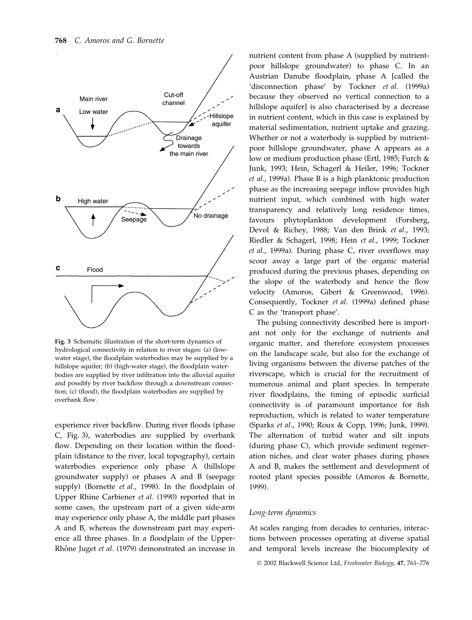

Fig. 3 Schematic illustration of the short-term dynamics of hydrological connectivity in relation to river stages: (a) (lowwater stage), the floodplain waterbodies may be supplied by a hillslope aquifer; (b) (high-water stage), the floodplain waterbodies are supplied by river infiltration into the alluvial aquifer and possibly by river backflow through a downstream connection; (c) (flood), the floodplain waterbodies are supplied by overbank flow.

experience river backflow. During river floods (phase C, Fig. 3), waterbodies are supplied by overbank flow. Depending on their location within the floodplain (distance to the river, local topography), certain waterbodies experience only phase A (hillslope groundwater supply) or phases A and B (seepage supply) (Bornette et al., 1998). In the floodplain of Upper Rhine Carbiener et al. (1990) reported that in some cases, the upstream part of a given side-arm may experience only phase A, the middle part phases A and B, whereas the downstream part may experience all three phases. In a floodplain of the Upper-Rhône Juget et al. (1979) demonstrated an increase in

nutrient content from phase A (supplied by nutrientpoor hillslope groundwater) to phase C. In an Austrian Danube floodplain, phase A [called the 'disconnection phase' by Tockner et al. (1999a) because they observed no vertical connection to a hillslope aquifer] is also characterised by a decrease in nutrient content, which in this case is explained by material sedimentation, nutrient uptake and grazing. Whether or not a waterbody is supplied by nutrientpoor hillslope groundwater, phase A appears as a low or medium production phase (Ertl, 1985; Furch & Junk, 1993; Hein, Schagerl & Heiler, 1996; Tockner et al., 1999a). Phase B is a high planktonic production phase as the increasing seepage inflow provides high nutrient input, which combined with high water transparency and relatively long residence times, favours phytoplankton development (Forsberg, Devol & Richey, 1988; Van den Brink et al., 1993; Riedler & Schagerl, 1998; Hein et al., 1999; Tockner et al., 1999a). During phase C, river overflows may scour away a large part of the organic material produced during the previous phases, depending on the slope of the waterbody and hence the flow velocity (Amoros, Gibert & Greenwood, 1996). Consequently, Tockner et al. (1999a) defined phase C as the 'transport phase'.

The pulsing connectivity described here is important not only for the exchange of nutrients and organic matter, and therefore ecosystem processes on the landscape scale, but also for the exchange of living organisms between the diverse patches of the riverscape, which is crucial for the recruitment of numerous animal and plant species. In temperate river floodplains, the timing of episodic surficial connectivity is of paramount importance for fish reproduction, which is related to water temperature (Sparks et al., 1990; Roux & Copp, 1996; Junk, 1999). The alternation of turbid water and silt inputs (during phase C), which provide sediment regeneration niches, and clear water phases during phases A and B, makes the settlement and development of rooted plant species possible (Amoros & Bornette, 1999).

#### Long-term dynamics

At scales ranging from decades to centuries, interactions between processes operating at diverse spatial and temporal levels increase the biocomplexity of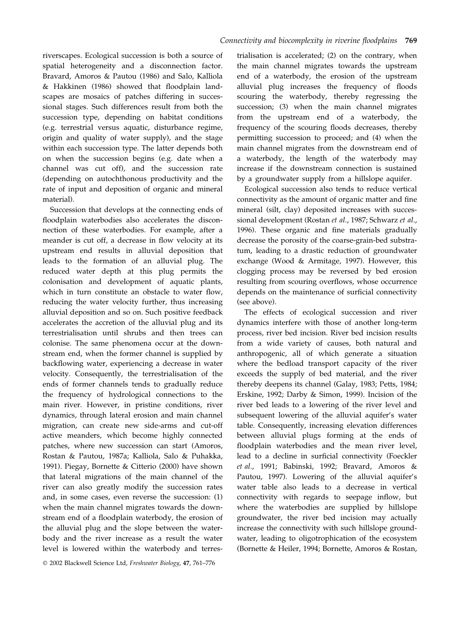riverscapes. Ecological succession is both a source of spatial heterogeneity and a disconnection factor. Bravard, Amoros & Pautou (1986) and Salo, Kalliola & Hakkinen (1986) showed that floodplain landscapes are mosaics of patches differing in successional stages. Such differences result from both the succession type, depending on habitat conditions (e.g. terrestrial versus aquatic, disturbance regime, origin and quality of water supply), and the stage within each succession type. The latter depends both on when the succession begins (e.g. date when a channel was cut off), and the succession rate (depending on autochthonous productivity and the rate of input and deposition of organic and mineral material).

Succession that develops at the connecting ends of floodplain waterbodies also accelerates the disconnection of these waterbodies. For example, after a meander is cut off, a decrease in flow velocity at its upstream end results in alluvial deposition that leads to the formation of an alluvial plug. The reduced water depth at this plug permits the colonisation and development of aquatic plants, which in turn constitute an obstacle to water flow, reducing the water velocity further, thus increasing alluvial deposition and so on. Such positive feedback accelerates the accretion of the alluvial plug and its terrestrialisation until shrubs and then trees can colonise. The same phenomena occur at the downstream end, when the former channel is supplied by backflowing water, experiencing a decrease in water velocity. Consequently, the terrestrialisation of the ends of former channels tends to gradually reduce the frequency of hydrological connections to the main river. However, in pristine conditions, river dynamics, through lateral erosion and main channel migration, can create new side-arms and cut-off active meanders, which become highly connected patches, where new succession can start (Amoros, Rostan & Pautou, 1987a; Kalliola, Salo & Puhakka, 1991). Piegay, Bornette & Citterio (2000) have shown that lateral migrations of the main channel of the river can also greatly modify the succession rates and, in some cases, even reverse the succession: (1) when the main channel migrates towards the downstream end of a floodplain waterbody, the erosion of the alluvial plug and the slope between the waterbody and the river increase as a result the water level is lowered within the waterbody and terres-

trialisation is accelerated; (2) on the contrary, when the main channel migrates towards the upstream end of a waterbody, the erosion of the upstream alluvial plug increases the frequency of floods scouring the waterbody, thereby regressing the succession; (3) when the main channel migrates from the upstream end of a waterbody, the frequency of the scouring floods decreases, thereby permitting succession to proceed; and (4) when the main channel migrates from the downstream end of a waterbody, the length of the waterbody may increase if the downstream connection is sustained by a groundwater supply from a hillslope aquifer.

Ecological succession also tends to reduce vertical connectivity as the amount of organic matter and fine mineral (silt, clay) deposited increases with successional development (Rostan et al., 1987; Schwarz et al., 1996). These organic and fine materials gradually decrease the porosity of the coarse-grain-bed substratum, leading to a drastic reduction of groundwater exchange (Wood & Armitage, 1997). However, this clogging process may be reversed by bed erosion resulting from scouring overflows, whose occurrence depends on the maintenance of surficial connectivity (see above).

The effects of ecological succession and river dynamics interfere with those of another long-term process, river bed incision. River bed incision results from a wide variety of causes, both natural and anthropogenic, all of which generate a situation where the bedload transport capacity of the river exceeds the supply of bed material, and the river thereby deepens its channel (Galay, 1983; Petts, 1984; Erskine, 1992; Darby & Simon, 1999). Incision of the river bed leads to a lowering of the river level and subsequent lowering of the alluvial aquifer's water table. Consequently, increasing elevation differences between alluvial plugs forming at the ends of floodplain waterbodies and the mean river level, lead to a decline in surficial connectivity (Foeckler et al., 1991; Babinski, 1992; Bravard, Amoros & Pautou, 1997). Lowering of the alluvial aquifer's water table also leads to a decrease in vertical connectivity with regards to seepage inflow, but where the waterbodies are supplied by hillslope groundwater, the river bed incision may actually increase the connectivity with such hillslope groundwater, leading to oligotrophication of the ecosystem (Bornette & Heiler, 1994; Bornette, Amoros & Rostan,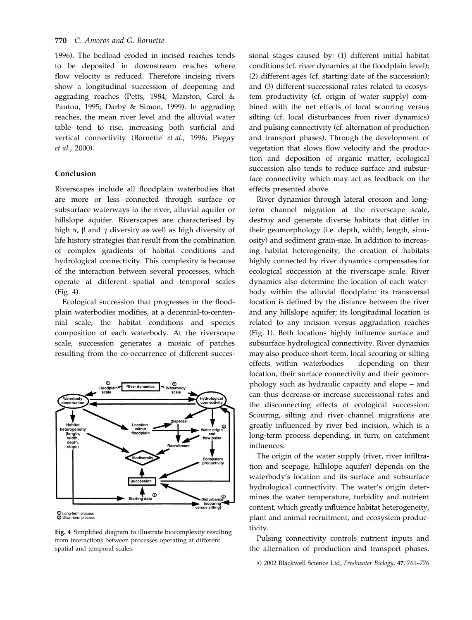1996). The bedload eroded in incised reaches tends to be deposited in downstream reaches where flow velocity is reduced. Therefore incising rivers show a longitudinal succession of deepening and aggrading reaches (Petts, 1984; Marston, Girel & Pautou, 1995; Darby & Simon, 1999). In aggrading reaches, the mean river level and the alluvial water table tend to rise, increasing both surficial and vertical connectivity (Bornette et al., 1996; Piegay et al., 2000).

#### Conclusion

Riverscapes include all floodplain waterbodies that are more or less connected through surface or subsurface waterways to the river, alluvial aquifer or hillslope aquifer. Riverscapes are characterised by high  $\alpha$ ,  $\beta$  and  $\gamma$  diversity as well as high diversity of life history strategies that result from the combination of complex gradients of habitat conditions and hydrological connectivity. This complexity is because of the interaction between several processes, which operate at different spatial and temporal scales (Fig. 4).

Ecological succession that progresses in the floodplain waterbodies modifies, at a decennial-to-centennial scale, the habitat conditions and species composition of each waterbody. At the riverscape scale, succession generates a mosaic of patches resulting from the co-occurrence of different succes-



**1** Long-term process<br> **2** Short-term process

Fig. 4 Simplified diagram to illustrate biocomplexity resulting from interactions between processes operating at different spatial and temporal scales.

sional stages caused by: (1) different initial habitat conditions (cf. river dynamics at the floodplain level); (2) different ages (cf. starting date of the succession); and (3) different successional rates related to ecosystem productivity (cf. origin of water supply) combined with the net effects of local scouring versus silting (cf. local disturbances from river dynamics) and pulsing connectivity (cf. alternation of production and transport phases). Through the development of vegetation that slows flow velocity and the production and deposition of organic matter, ecological succession also tends to reduce surface and subsurface connectivity which may act as feedback on the effects presented above.

River dynamics through lateral erosion and longterm channel migration at the riverscape scale, destroy and generate diverse habitats that differ in their geomorphology (i.e. depth, width, length, sinuosity) and sediment grain-size. In addition to increasing habitat heterogeneity, the creation of habitats highly connected by river dynamics compensates for ecological succession at the riverscape scale. River dynamics also determine the location of each waterbody within the alluvial floodplain: its transversal location is defined by the distance between the river and any hillslope aquifer; its longitudinal location is related to any incision versus aggradation reaches (Fig. 1). Both locations highly influence surface and subsurface hydrological connectivity. River dynamics may also produce short-term, local scouring or silting effects within waterbodies – depending on their location, their surface connectivity and their geomorphology such as hydraulic capacity and slope – and can thus decrease or increase successional rates and the disconnecting effects of ecological succession. Scouring, silting and river channel migrations are greatly influenced by river bed incision, which is a long-term process depending, in turn, on catchment influences.

The origin of the water supply (river, river infiltration and seepage, hillslope aquifer) depends on the waterbody's location and its surface and subsurface hydrological connectivity. The water's origin determines the water temperature, turbidity and nutrient content, which greatly influence habitat heterogeneity, plant and animal recruitment, and ecosystem productivity.

Pulsing connectivity controls nutrient inputs and the alternation of production and transport phases.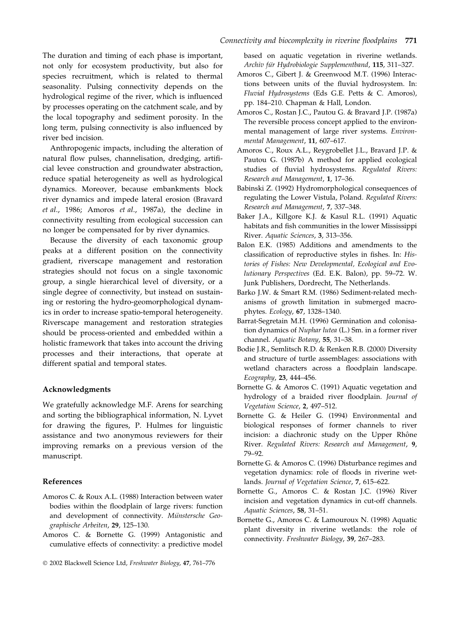The duration and timing of each phase is important, not only for ecosystem productivity, but also for species recruitment, which is related to thermal seasonality. Pulsing connectivity depends on the hydrological regime of the river, which is influenced by processes operating on the catchment scale, and by the local topography and sediment porosity. In the long term, pulsing connectivity is also influenced by river bed incision.

Anthropogenic impacts, including the alteration of natural flow pulses, channelisation, dredging, artificial levee construction and groundwater abstraction, reduce spatial heterogeneity as well as hydrological dynamics. Moreover, because embankments block river dynamics and impede lateral erosion (Bravard et al., 1986; Amoros et al., 1987a), the decline in connectivity resulting from ecological succession can no longer be compensated for by river dynamics.

Because the diversity of each taxonomic group peaks at a different position on the connectivity gradient, riverscape management and restoration strategies should not focus on a single taxonomic group, a single hierarchical level of diversity, or a single degree of connectivity, but instead on sustaining or restoring the hydro-geomorphological dynamics in order to increase spatio-temporal heterogeneity. Riverscape management and restoration strategies should be process-oriented and embedded within a holistic framework that takes into account the driving processes and their interactions, that operate at different spatial and temporal states.

### Acknowledgments

We gratefully acknowledge M.F. Arens for searching and sorting the bibliographical information, N. Lyvet for drawing the figures, P. Hulmes for linguistic assistance and two anonymous reviewers for their improving remarks on a previous version of the manuscript.

#### References

- Amoros C. & Roux A.L. (1988) Interaction between water bodies within the floodplain of large rivers: function and development of connectivity. Münstersche Geographische Arbeiten, 29, 125–130.
- Amoros C. & Bornette G. (1999) Antagonistic and cumulative effects of connectivity: a predictive model

based on aquatic vegetation in riverine wetlands. Archiv für Hydrobiologie Supplementband, 115, 311–327.

- Amoros C., Gibert J. & Greenwood M.T. (1996) Interactions between units of the fluvial hydrosystem. In: Fluvial Hydrosystems (Eds G.E. Petts & C. Amoros), pp. 184–210. Chapman & Hall, London.
- Amoros C., Rostan J.C., Pautou G. & Bravard J.P. (1987a) The reversible process concept applied to the environmental management of large river systems. Environmental Management, 11, 607–617.
- Amoros C., Roux A.L., Reygrobellet J.L., Bravard J.P. & Pautou G. (1987b) A method for applied ecological studies of fluvial hydrosystems. Regulated Rivers: Research and Management, 1, 17–36.
- Babinski Z. (1992) Hydromorphological consequences of regulating the Lower Vistula, Poland. Regulated Rivers: Research and Management, 7, 337–348.
- Baker J.A., Killgore K.J. & Kasul R.L. (1991) Aquatic habitats and fish communities in the lower Mississippi River. Aquatic Sciences, 3, 313–356.
- Balon E.K. (1985) Additions and amendments to the classification of reproductive styles in fishes. In: Histories of Fishes: New Developmental, Ecological and Evolutionary Perspectives (Ed. E.K. Balon), pp. 59–72. W. Junk Publishers, Dordrecht, The Netherlands.
- Barko J.W. & Smart R.M. (1986) Sediment-related mechanisms of growth limitation in submerged macrophytes. Ecology, 67, 1328–1340.
- Barrat-Segretain M.H. (1996) Germination and colonisation dynamics of Nuphar lutea (L.) Sm. in a former river channel. Aquatic Botany, 55, 31–38.
- Bodie J.R., Semlitsch R.D. & Renken R.B. (2000) Diversity and structure of turtle assemblages: associations with wetland characters across a floodplain landscape. Ecography, 23, 444–456.
- Bornette G. & Amoros C. (1991) Aquatic vegetation and hydrology of a braided river floodplain. Journal of Vegetation Science, 2, 497–512.
- Bornette G. & Heiler G. (1994) Environmental and biological responses of former channels to river incision: a diachronic study on the Upper Rhône River. Regulated Rivers: Research and Management, 9, 79–92.
- Bornette G. & Amoros C. (1996) Disturbance regimes and vegetation dynamics: role of floods in riverine wetlands. Journal of Vegetation Science, 7, 615–622.
- Bornette G., Amoros C. & Rostan J.C. (1996) River incision and vegetation dynamics in cut-off channels. Aquatic Sciences, 58, 31–51.
- Bornette G., Amoros C. & Lamouroux N. (1998) Aquatic plant diversity in riverine wetlands: the role of connectivity. Freshwater Biology, 39, 267–283.

Ó 2002 Blackwell Science Ltd, Freshwater Biology, 47, 761–776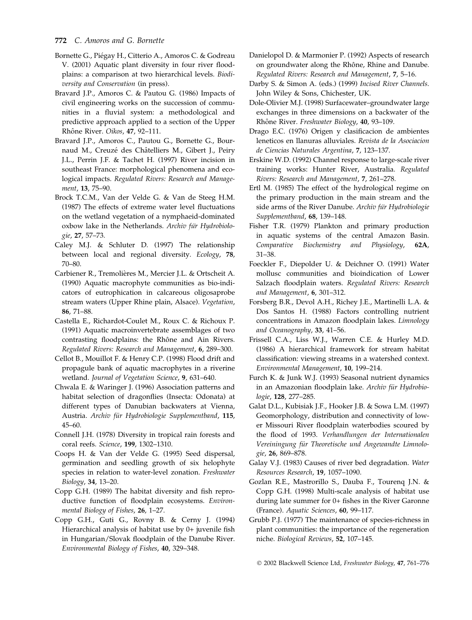#### 772 C. Amoros and G. Bornette

- Bornette G., Piégay H., Citterio A., Amoros C. & Godreau V. (2001) Aquatic plant diversity in four river floodplains: a comparison at two hierarchical levels. Biodiversity and Conservation (in press).
- Bravard J.P., Amoros C. & Pautou G. (1986) Impacts of civil engineering works on the succession of communities in a fluvial system: a methodological and predictive approach applied to a section of the Upper Rhône River. Oikos, 47, 92-111.
- Bravard J.P., Amoros C., Pautou G., Bornette G., Bournaud M., Creuzé des Châtelliers M., Gibert J., Peiry J.L., Perrin J.F. & Tachet H. (1997) River incision in southeast France: morphological phenomena and ecological impacts. Regulated Rivers: Research and Management, 13, 75–90.
- Brock T.C.M., Van der Velde G. & Van de Steeg H.M. (1987) The effects of extreme water level fluctuations on the wetland vegetation of a nymphaeid-dominated oxbow lake in the Netherlands. Archiv für Hydrobiologie, 27, 57–73.
- Caley M.J. & Schluter D. (1997) The relationship between local and regional diversity. Ecology, 78, 70–80.
- Carbiener R., Tremolières M., Mercier J.L. & Ortscheit A. (1990) Aquatic macrophyte communities as bio-indicators of eutrophication in calcareous oligosaprobe stream waters (Upper Rhine plain, Alsace). Vegetation, 86, 71–88.
- Castella E., Richardot-Coulet M., Roux C. & Richoux P. (1991) Aquatic macroinvertebrate assemblages of two contrasting floodplains: the Rhône and Ain Rivers. Regulated Rivers: Research and Management, 6, 289–300.
- Cellot B., Mouillot F. & Henry C.P. (1998) Flood drift and propagule bank of aquatic macrophytes in a riverine wetland. Journal of Vegetation Science, 9, 631–640.
- Chwala E. & Waringer J. (1996) Association patterns and habitat selection of dragonflies (Insecta: Odonata) at different types of Danubian backwaters at Vienna, Austria. Archiv für Hydrobiologie Supplementband, 115, 45–60.
- Connell J.H. (1978) Diversity in tropical rain forests and coral reefs. Science, 199, 1302–1310.
- Coops H. & Van der Velde G. (1995) Seed dispersal, germination and seedling growth of six helophyte species in relation to water-level zonation. Freshwater Biology, 34, 13–20.
- Copp G.H. (1989) The habitat diversity and fish reproductive function of floodplain ecosystems. Environmental Biology of Fishes, 26, 1–27.
- Copp G.H., Guti G., Rovny B. & Cerny J. (1994) Hierarchical analysis of habitat use by 0+ juvenile fish in Hungarian/Slovak floodplain of the Danube River. Environmental Biology of Fishes, 40, 329–348.
- Danielopol D. & Marmonier P. (1992) Aspects of research on groundwater along the Rhône, Rhine and Danube. Regulated Rivers: Research and Management, 7, 5–16.
- Darby S. & Simon A. (eds.) (1999) Incised River Channels. John Wiley & Sons, Chichester, UK.
- Dole-Olivier M.J. (1998) Surfacewater–groundwater large exchanges in three dimensions on a backwater of the Rhône River. Freshwater Biology, 40, 93-109.
- Drago E.C. (1976) Origen y clasificacion de ambientes leneticos en llanuras alluviales. Revista de la Asociacion de Ciencias Naturales Argentina, 7, 123–137.
- Erskine W.D. (1992) Channel response to large-scale river training works: Hunter River, Australia. Regulated Rivers: Research and Management, 7, 261–278.
- Ertl M. (1985) The effect of the hydrological regime on the primary production in the main stream and the side arms of the River Danube. Archiv für Hydrobiologie Supplementband, 68, 139–148.
- Fisher T.R. (1979) Plankton and primary production in aquatic systems of the central Amazon Basin. Comparative Biochemistry and Physiology, 62A, 31–38.
- Foeckler F., Diepolder U. & Deichner O. (1991) Water mollusc communities and bioindication of Lower Salzach floodplain waters. Regulated Rivers: Research and Management, 6, 301–312.
- Forsberg B.R., Devol A.H., Richey J.E., Martinelli L.A. & Dos Santos H. (1988) Factors controlling nutrient concentrations in Amazon floodplain lakes. Limnology and Oceanography, 33, 41–56.
- Frissell C.A., Liss W.J., Warren C.E. & Hurley M.D. (1986) A hierarchical framework for stream habitat classification: viewing streams in a watershed context. Environmental Management, 10, 199–214.
- Furch K. & Junk W.J. (1993) Seasonal nutrient dynamics in an Amazonian floodplain lake. Archiv für Hydrobiologie, 128, 277–285.
- Galat D.L., Kubisiak J.F., Hooker J.B. & Sowa L.M. (1997) Geomorphology, distribution and connectivity of lower Missouri River floodplain waterbodies scoured by the flood of 1993. Verhandlungen der Internationalen Vereiningung für Theoretische und Angewandte Limnologie, 26, 869–878.
- Galay V.J. (1983) Causes of river bed degradation. Water Resources Research, 19, 1057–1090.
- Gozlan R.E., Mastrorillo S., Dauba F., Tourenq J.N. & Copp G.H. (1998) Multi-scale analysis of habitat use during late summer for 0+ fishes in the River Garonne (France). Aquatic Sciences, 60, 99–117.
- Grubb P.J. (1977) The maintenance of species-richness in plant communities: the importance of the regeneration niche. Biological Reviews, 52, 107–145.

Ó 2002 Blackwell Science Ltd, Freshwater Biology, 47, 761–776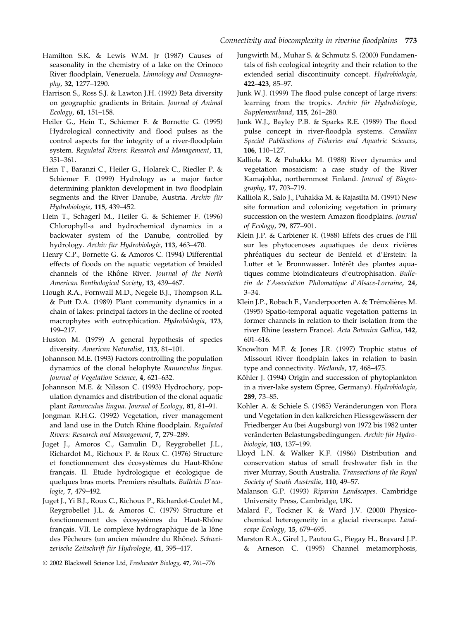- Hamilton S.K. & Lewis W.M. Jr (1987) Causes of seasonality in the chemistry of a lake on the Orinoco River floodplain, Venezuela. Limnology and Oceanography, 32, 1277–1290.
- Harrison S., Ross S.J. & Lawton J.H. (1992) Beta diversity on geographic gradients in Britain. Journal of Animal Ecology, 61, 151–158.
- Heiler G., Hein T., Schiemer F. & Bornette G. (1995) Hydrological connectivity and flood pulses as the control aspects for the integrity of a river-floodplain system. Regulated Rivers: Research and Management, 11, 351–361.
- Hein T., Baranzi C., Heiler G., Holarek C., Riedler P. & Schiemer F. (1999) Hydrology as a major factor determining plankton development in two floodplain segments and the River Danube, Austria. Archiv für Hydrobiologie, 115, 439–452.
- Hein T., Schagerl M., Heiler G. & Schiemer F. (1996) Chlorophyll-a and hydrochemical dynamics in a backwater system of the Danube, controlled by hydrology. Archiv für Hydrobiologie, 113, 463-470.
- Henry C.P., Bornette G. & Amoros C. (1994) Differential effects of floods on the aquatic vegetation of braided channels of the Rhône River. Journal of the North American Benthological Society, 13, 439–467.
- Hough R.A., Fornwall M.D., Negele B.J., Thompson R.L. & Putt D.A. (1989) Plant community dynamics in a chain of lakes: principal factors in the decline of rooted macrophytes with eutrophication. Hydrobiologia, 173, 199–217.
- Huston M. (1979) A general hypothesis of species diversity. American Naturalist, 113, 81–101.
- Johannson M.E. (1993) Factors controlling the population dynamics of the clonal helophyte Ranunculus lingua. Journal of Vegetation Science, 4, 621–632.
- Johannson M.E. & Nilsson C. (1993) Hydrochory, population dynamics and distribution of the clonal aquatic plant Ranunculus lingua. Journal of Ecology, 81, 81-91.
- Jongman R.H.G. (1992) Vegetation, river management and land use in the Dutch Rhine floodplain. Regulated Rivers: Research and Management, 7, 279–289.
- Juget J., Amoros C., Gamulin D., Reygrobellet J.L., Richardot M., Richoux P. & Roux C. (1976) Structure et fonctionnement des écosystèmes du Haut-Rhône français. II. Etude hydrologique et écologique de quelques bras morts. Premiers résultats. Bulletin D'ecologie, 7, 479–492.
- Juget J., Yi B.J., Roux C., Richoux P., Richardot-Coulet M., Reygrobellet J.L. & Amoros C. (1979) Structure et fonctionnement des écosystèmes du Haut-Rhône français. VII. Le complexe hydrographique de la lône des Pêcheurs (un ancien méandre du Rhône). Schweizerische Zeitschrift für Hydrologie, 41, 395-417.
- Ó 2002 Blackwell Science Ltd, Freshwater Biology, 47, 761–776
- Jungwirth M., Muhar S. & Schmutz S. (2000) Fundamentals of fish ecological integrity and their relation to the extended serial discontinuity concept. Hydrobiologia, 422–423, 85–97.
- Junk W.J. (1999) The flood pulse concept of large rivers: learning from the tropics. Archiv für Hydrobiologie, Supplementband, 115, 261–280.
- Junk W.J., Bayley P.B. & Sparks R.E. (1989) The flood pulse concept in river-floodpla systems. Canadian Special Publications of Fisheries and Aquatric Sciences, 106, 110–127.
- Kalliola R. & Puhakka M. (1988) River dynamics and vegetation mosaicism: a case study of the River Kamajohka, northernmost Finland. Journal of Biogeography, 17, 703–719.
- Kalliola R., Salo J., Puhakka M. & Rajasilta M. (1991) New site formation and colonizing vegetation in primary succession on the western Amazon floodplains. Journal of Ecology, 79, 877–901.
- Klein J.P. & Carbiener R. (1988) Effets des crues de l'Ill sur les phytocenoses aquatiques de deux rivières phre´atiques du secteur de Benfeld et d'Erstein: la Lutter et le Bronnwasser. Intérêt des plantes aquatiques comme bioindicateurs d'eutrophisation. Bulletin de l'Association Philomatique d'Alsace-Lorraine, 24, 3–34.
- Klein J.P., Robach F., Vanderpoorten A. & Trémolières M. (1995) Spatio-temporal aquatic vegetation patterns in former channels in relation to their isolation from the river Rhine (eastern France). Acta Botanica Gallica, 142, 601–616.
- Knowlton M.F. & Jones J.R. (1997) Trophic status of Missouri River floodplain lakes in relation to basin type and connectivity. Wetlands, 17, 468–475.
- Köhler J. (1994) Origin and succession of phytoplankton in a river-lake system (Spree, Germany). Hydrobiologia, 289, 73–85.
- Kohler A. & Schiele S. (1985) Veränderungen von Flora und Vegetation in den kalkreichen Fliessgewässern der Friedberger Au (bei Augsburg) von 1972 bis 1982 unter veränderten Belastungsbedingungen. Archiv für Hydrobiologie, 103, 137–199.
- Lloyd L.N. & Walker K.F. (1986) Distribution and conservation status of small freshwater fish in the river Murray, South Australia. Transactions of the Royal Society of South Australia, 110, 49–57.
- Malanson G.P. (1993) Riparian Landscapes. Cambridge University Press, Cambridge, UK.
- Malard F., Tockner K. & Ward J.V. (2000) Physicochemical heterogeneity in a glacial riverscape. Landscape Ecology, 15, 679–695.
- Marston R.A., Girel J., Pautou G., Piegay H., Bravard J.P. & Arneson C. (1995) Channel metamorphosis,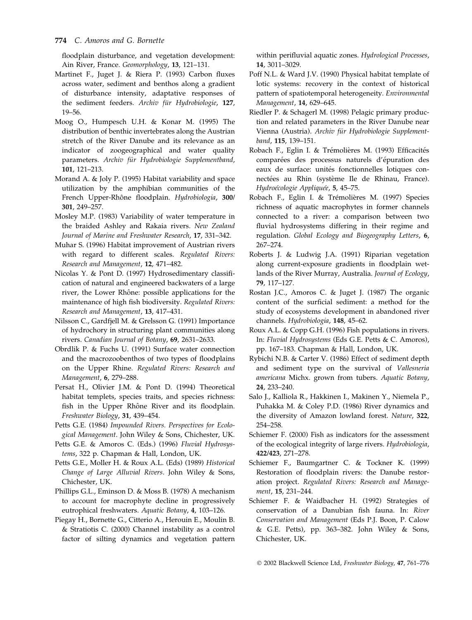floodplain disturbance, and vegetation development: Ain River, France. Geomorphology, 13, 121–131.

- Martinet F., Juget J. & Riera P. (1993) Carbon fluxes across water, sediment and benthos along a gradient of disturbance intensity, adaptative responses of the sediment feeders. Archiv für Hydrobiologie, 127, 19–56.
- Moog O., Humpesch U.H. & Konar M. (1995) The distribution of benthic invertebrates along the Austrian stretch of the River Danube and its relevance as an indicator of zoogeographical and water quality parameters. Archiv für Hydrobiologie Supplementband, 101, 121–213.
- Morand A. & Joly P. (1995) Habitat variability and space utilization by the amphibian communities of the French Upper-Rhône floodplain. Hydrobiologia, 300/ 301, 249–257.
- Mosley M.P. (1983) Variability of water temperature in the braided Ashley and Rakaia rivers. New Zealand Journal of Marine and Freshwater Research, 17, 331–342.
- Muhar S. (1996) Habitat improvement of Austrian rivers with regard to different scales. Regulated Rivers: Research and Management, 12, 471–482.
- Nicolas Y. & Pont D. (1997) Hydrosedimentary classification of natural and engineered backwaters of a large river, the Lower Rhône: possible applications for the maintenance of high fish biodiversity. Regulated Rivers: Research and Management, 13, 417–431.
- Nilsson C., Gardfjell M. & Grelsson G. (1991) Importance of hydrochory in structuring plant communities along rivers. Canadian Journal of Botany, 69, 2631–2633.
- Obrdlik P. & Fuchs U. (1991) Surface water connection and the macrozoobenthos of two types of floodplains on the Upper Rhine. Regulated Rivers: Research and Management, 6, 279–288.
- Persat H., Olivier J.M. & Pont D. (1994) Theoretical habitat templets, species traits, and species richness: fish in the Upper Rhône River and its floodplain. Freshwater Biology, 31, 439–454.
- Petts G.E. (1984) Impounded Rivers. Perspectives for Ecological Management. John Wiley & Sons, Chichester, UK.
- Petts G.E. & Amoros C. (Eds.) (1996) Fluvial Hydrosystems, 322 p. Chapman & Hall, London, UK.
- Petts G.E., Moller H. & Roux A.L. (Eds) (1989) Historical Change of Large Alluvial Rivers. John Wiley & Sons, Chichester, UK.
- Phillips G.L., Eminson D. & Moss B. (1978) A mechanism to account for macrophyte decline in progressively eutrophical freshwaters. Aquatic Botany, 4, 103–126.
- Piegay H., Bornette G., Citterio A., Herouin E., Moulin B. & Stratiotis C. (2000) Channel instability as a control factor of silting dynamics and vegetation pattern

within perifluvial aquatic zones. Hydrological Processes, 14, 3011–3029.

- Poff N.L. & Ward J.V. (1990) Physical habitat template of lotic systems: recovery in the context of historical pattern of spatiotemporal heterogeneity. Environmental Management, 14, 629–645.
- Riedler P. & Schagerl M. (1998) Pelagic primary production and related parameters in the River Danube near Vienna (Austria). Archiv für Hydrobiologie Supplementband, 115, 139–151.
- Robach F., Eglin I. & Trémolières M. (1993) Efficacités comparées des processus naturels d'épuration des eaux de surface: unités fonctionnelles lotiques connectées au Rhin (système Ile de Rhinau, France). Hydroécologie Appliquée, 5, 45–75.
- Robach F., Eglin I. & Trémolières M. (1997) Species richness of aquatic macrophytes in former channels connected to a river: a comparison between two fluvial hydrosystems differing in their regime and regulation. Global Ecology and Biogeography Letters, 6, 267–274.
- Roberts J. & Ludwig J.A. (1991) Riparian vegetation along current-exposure gradients in floodplain wetlands of the River Murray, Australia. Journal of Ecology, 79, 117–127.
- Rostan J.C., Amoros C. & Juget J. (1987) The organic content of the surficial sediment: a method for the study of ecosystems development in abandoned river channels. Hydrobiologia, 148, 45–62.
- Roux A.L. & Copp G.H. (1996) Fish populations in rivers. In: Fluvial Hydrosystems (Eds G.E. Petts & C. Amoros), pp. 167–183. Chapman & Hall, London, UK.
- Rybichi N.B. & Carter V. (1986) Effect of sediment depth and sediment type on the survival of Vallesneria americana Michx. grown from tubers. Aquatic Botany, 24, 233–240.
- Salo J., Kalliola R., Hakkinen I., Makinen Y., Niemela P., Puhakka M. & Coley P.D. (1986) River dynamics and the diversity of Amazon lowland forest. Nature, 322, 254–258.
- Schiemer F. (2000) Fish as indicators for the assessment of the ecological integrity of large rivers. Hydrobiologia, 422/423, 271–278.
- Schiemer F., Baumgartner C. & Tockner K. (1999) Restoration of floodplain rivers: the Danube restoration project. Regulated Rivers: Research and Management, 15, 231–244.
- Schiemer F. & Waidbacher H. (1992) Strategies of conservation of a Danubian fish fauna. In: River Conservation and Management (Eds P.J. Boon, P. Calow & G.E. Petts), pp. 363–382. John Wiley & Sons, Chichester, UK.

Ó 2002 Blackwell Science Ltd, Freshwater Biology, 47, 761–776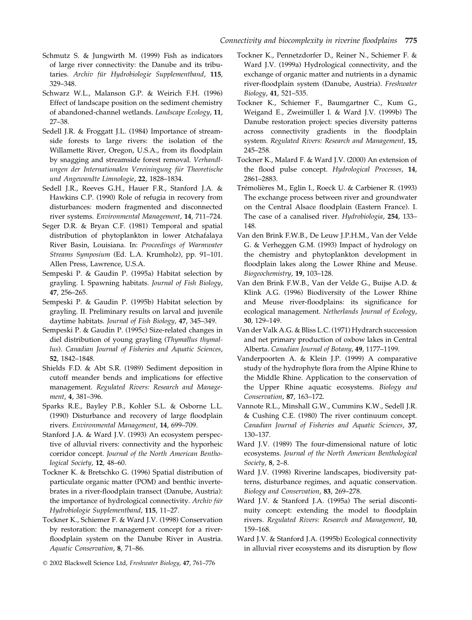- Schmutz S. & Jungwirth M. (1999) Fish as indicators of large river connectivity: the Danube and its tributaries. Archiv für Hydrobiologie Supplementband, 115, 329–348.
- Schwarz W.L., Malanson G.P. & Weirich F.H. (1996) Effect of landscape position on the sediment chemistry of abandoned-channel wetlands. Landscape Ecology, 11, 27–38.
- Sedell J.R. & Froggatt J.L. (1984) Importance of streamside forests to large rivers: the isolation of the Willamette River, Oregon, U.S.A., from its floodplain by snagging and streamside forest removal. Verhandlungen der Internationalen Vereiningung für Theoretische und Angewandte Limnologie, 22, 1828–1834.
- Sedell J.R., Reeves G.H., Hauer F.R., Stanford J.A. & Hawkins C.P. (1990) Role of refugia in recovery from disturbances: modern fragmented and disconnected river systems. Environmental Management, 14, 711–724.
- Seger D.R. & Bryan C.F. (1981) Temporal and spatial distribution of phytoplankton in lower Atchafalaya River Basin, Louisiana. In: Proceedings of Warmwater Streams Symposium (Ed. L.A. Krumholz), pp. 91–101. Allen Press, Lawrence, U.S.A.
- Sempeski P. & Gaudin P. (1995a) Habitat selection by grayling. I. Spawning habitats. Journal of Fish Biology, 47, 256–265.
- Sempeski P. & Gaudin P. (1995b) Habitat selection by grayling. II. Preliminary results on larval and juvenile daytime habitats. Journal of Fish Biology, 47, 345–349.
- Sempeski P. & Gaudin P. (1995c) Size-related changes in diel distribution of young grayling (Thymallus thymallus). Canadian Journal of Fisheries and Aquatic Sciences, 52, 1842–1848.
- Shields F.D. & Abt S.R. (1989) Sediment deposition in cutoff meander bends and implications for effective management. Regulated Rivers: Research and Management, 4, 381–396.
- Sparks R.E., Bayley P.B., Kohler S.L. & Osborne L.L. (1990) Disturbance and recovery of large floodplain rivers. Environmental Management, 14, 699–709.
- Stanford J.A. & Ward J.V. (1993) An ecosystem perspective of alluvial rivers: connectivity and the hyporheic corridor concept. Journal of the North American Benthological Society, 12, 48–60.
- Tockner K. & Bretschko G. (1996) Spatial distribution of particulate organic matter (POM) and benthic invertebrates in a river-floodplain transect (Danube, Austria): the importance of hydrological connectivity. Archiv für Hydrobiologie Supplementband, 115, 11–27.
- Tockner K., Schiemer F. & Ward J.V. (1998) Conservation by restoration: the management concept for a riverfloodplain system on the Danube River in Austria. Aquatic Conservation, 8, 71–86.

- Tockner K., Pennetzdorfer D., Reiner N., Schiemer F. & Ward J.V. (1999a) Hydrological connectivity, and the exchange of organic matter and nutrients in a dynamic river-floodplain system (Danube, Austria). Freshwater Biology, 41, 521–535.
- Tockner K., Schiemer F., Baumgartner C., Kum G., Weigand E., Zweimüller I. & Ward J.V. (1999b) The Danube restoration project: species diversity patterns across connectivity gradients in the floodplain system. Regulated Rivers: Research and Management, 15, 245–258.
- Tockner K., Malard F. & Ward J.V. (2000) An extension of the flood pulse concept. Hydrological Processes, 14, 2861–2883.
- Trémolières M., Eglin I., Roeck U. & Carbiener R. (1993) The exchange process between river and groundwater on the Central Alsace floodplain (Eastern France). I. The case of a canalised river. Hydrobiologia, 254, 133– 148.
- Van den Brink F.W.B., De Leuw J.P.H.M., Van der Velde G. & Verheggen G.M. (1993) Impact of hydrology on the chemistry and phytoplankton development in floodplain lakes along the Lower Rhine and Meuse. Biogeochemistry, 19, 103–128.
- Van den Brink F.W.B., Van der Velde G., Buijse A.D. & Klink A.G. (1996) Biodiversity of the Lower Rhine and Meuse river-floodplains: its significance for ecological management. Netherlands Journal of Ecology, 30, 129–149.
- Van der Valk A.G. & Bliss L.C. (1971) Hydrarch succession and net primary production of oxbow lakes in Central Alberta. Canadian Journal of Botany, 49, 1177–1199.
- Vanderpoorten A. & Klein J.P. (1999) A comparative study of the hydrophyte flora from the Alpine Rhine to the Middle Rhine. Application to the conservation of the Upper Rhine aquatic ecosystems. Biology and Conservation, 87, 163–172.
- Vannote R.L., Minshall G.W., Cummins K.W., Sedell J.R. & Cushing C.E. (1980) The river continuum concept. Canadian Journal of Fisheries and Aquatic Sciences, 37, 130–137.
- Ward J.V. (1989) The four-dimensional nature of lotic ecosystems. Journal of the North American Benthological Society, 8, 2–8.
- Ward J.V. (1998) Riverine landscapes, biodiversity patterns, disturbance regimes, and aquatic conservation. Biology and Conservation, 83, 269–278.
- Ward J.V. & Stanford J.A. (1995a) The serial discontinuity concept: extending the model to floodplain rivers. Regulated Rivers: Research and Management, 10, 159–168.
- Ward J.V. & Stanford J.A. (1995b) Ecological connectivity in alluvial river ecosystems and its disruption by flow